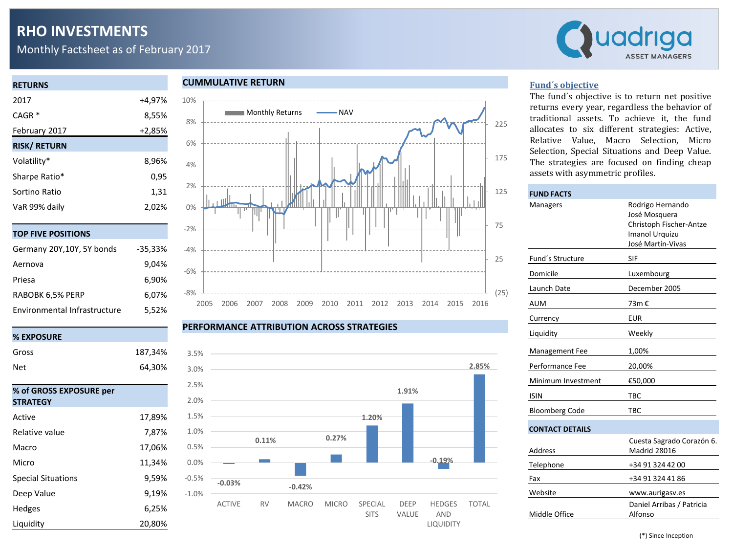# **RHO INVESTMENTS**

Monthly Factsheet as of February 2017



## **RETURNS** 2017 +4,97% CAGR \* 8,55% February 2017 +2,85% **RISK/ RETURN** Volatility\* 8,96% Sharpe Ratio<sup>\*</sup> 0,95

| Stidle Ratio  | <b>U,JJ</b> |
|---------------|-------------|
| Sortino Ratio | 1.31        |
| VaR 99% daily | 2.02%       |
|               |             |

|  |  |  |  |  | TOP FIVE POSITIONS |  |
|--|--|--|--|--|--------------------|--|
|  |  |  |  |  |                    |  |

| Germany 20Y, 10Y, 5Y bonds   | $-35,33\%$ |
|------------------------------|------------|
| Aernova                      | 9,04%      |
| Priesa                       | 6,90%      |
| RABOBK 6,5% PERP             | 6,07%      |
| Environmental Infrastructure | 5,52%      |

#### **% EXPOSURE**

| Gross                     | 187,34% |
|---------------------------|---------|
| Net                       | 64,30%  |
|                           |         |
| % of GROSS EXPOSURE per   |         |
| <b>STRATEGY</b>           |         |
| Active                    | 17,89%  |
| Relative value            | 7,87%   |
| Macro                     | 17,06%  |
| Micro                     | 11,34%  |
| <b>Special Situations</b> | 9,59%   |
| Deep Value                | 9,19%   |
| Hedges                    | 6,25%   |
| Liquidity                 | 20,80%  |

#### **CUMMULATIVE RETURN**



#### **PERFORMANCE ATTRIBUTION ACROSS STRATEGIES**



#### **Fund´s objective**

The fund´s objective is to return net positive returns every year, regardless the behavior of traditional assets. To achieve it, the fund allocates to six different strategies: Active, Relative Value, Macro Selection, Micro Selection, Special Situations and Deep Value. The strategies are focused on finding cheap assets with asymmetric profiles.

| <b>FUND FACTS</b>      |                                                                                                            |
|------------------------|------------------------------------------------------------------------------------------------------------|
| Managers               | Rodrigo Hernando<br>José Mosquera<br>Christoph Fischer-Antze<br><b>Imanol Urquizu</b><br>José Martín-Vivas |
| Fund's Structure       | SIF                                                                                                        |
| Domicile               | Luxembourg                                                                                                 |
| Launch Date            | December 2005                                                                                              |
| AUM                    | 73m €                                                                                                      |
| Currency               | <b>EUR</b>                                                                                                 |
| Liquidity              | Weekly                                                                                                     |
| Management Fee         | 1,00%                                                                                                      |
| Performance Fee        | 20,00%                                                                                                     |
| Minimum Investment     | €50,000                                                                                                    |
| <b>ISIN</b>            | TBC                                                                                                        |
| <b>Bloomberg Code</b>  | <b>TBC</b>                                                                                                 |
| <b>CONTACT DETAILS</b> |                                                                                                            |
| Address                | Cuesta Sagrado Corazón 6.<br><b>Madrid 28016</b>                                                           |
| Telephone              | +34 91 324 42 00                                                                                           |
| Fax                    | +34 91 324 41 86                                                                                           |
| Website                | www.aurigasv.es                                                                                            |
| Middle Office          | Daniel Arribas / Patricia<br>Alfonso                                                                       |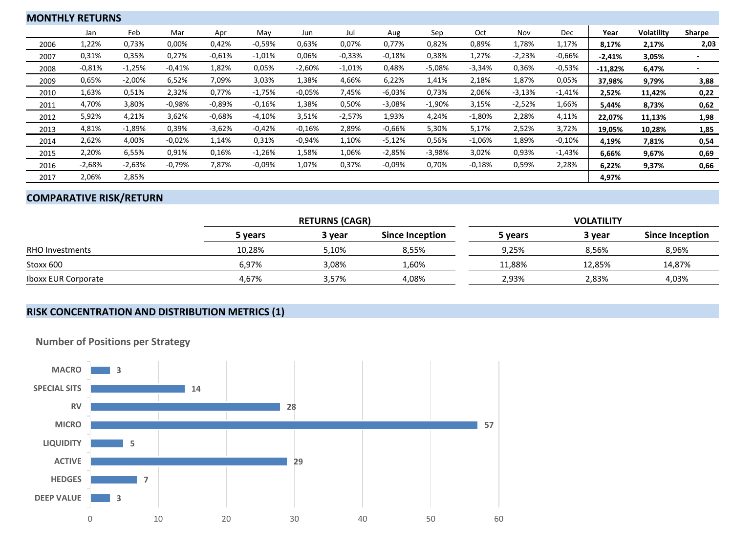| <b>MONTHLY RETURNS</b> |          |          |          |          |          |          |          |          |          |          |          |          |           |                   |                          |
|------------------------|----------|----------|----------|----------|----------|----------|----------|----------|----------|----------|----------|----------|-----------|-------------------|--------------------------|
|                        | Jan      | Feb      | Mar      | Apr      | May      | Jun      | Jul      | Aug      | Sep      | Oct      | Nov      | Dec      | Year      | <b>Volatility</b> | Sharpe                   |
| 2006                   | 1,22%    | 0,73%    | 0,00%    | 0,42%    | $-0,59%$ | 0,63%    | 0,07%    | 0,77%    | 0,82%    | 0,89%    | 1,78%    | 1,17%    | 8,17%     | 2,17%             | 2,03                     |
| 2007                   | 0,31%    | 0,35%    | 0,27%    | $-0,61%$ | $-1,01%$ | 0,06%    | $-0,33%$ | $-0.18%$ | 0,38%    | 1,27%    | $-2,23%$ | $-0,66%$ | $-2,41%$  | 3,05%             |                          |
| 2008                   | $-0.81%$ | $-1,25%$ | $-0.41%$ | 1,82%    | 0,05%    | $-2,60%$ | $-1,01%$ | 0,48%    | $-5,08%$ | $-3,34%$ | 0,36%    | $-0.53%$ | $-11,82%$ | 6,47%             | $\overline{\phantom{0}}$ |
| 2009                   | 0,65%    | $-2,00%$ | 6,52%    | 7,09%    | 3,03%    | 1,38%    | 4,66%    | 6,22%    | 1,41%    | 2,18%    | 1,87%    | 0,05%    | 37,98%    | 9,79%             | 3,88                     |
| 2010                   | 1,63%    | 0,51%    | 2,32%    | 0,77%    | $-1,75%$ | $-0.05%$ | 7,45%    | $-6,03%$ | 0,73%    | 2,06%    | $-3,13%$ | $-1,41%$ | 2,52%     | 11,42%            | 0,22                     |
| 2011                   | 4,70%    | 3,80%    | $-0.98%$ | $-0.89%$ | $-0.16%$ | 1,38%    | 0,50%    | $-3,08%$ | $-1,90%$ | 3,15%    | $-2,52%$ | 1,66%    | 5,44%     | 8,73%             | 0,62                     |
| 2012                   | 5,92%    | 4,21%    | 3,62%    | $-0.68%$ | $-4,10%$ | 3,51%    | $-2,57%$ | 1,93%    | 4,24%    | $-1,80%$ | 2,28%    | 4,11%    | 22,07%    | 11,13%            | 1,98                     |
| 2013                   | 4,81%    | $-1,89%$ | 0,39%    | $-3,62%$ | $-0.42%$ | $-0.16%$ | 2,89%    | $-0.66%$ | 5,30%    | 5,17%    | 2,52%    | 3,72%    | 19,05%    | 10,28%            | 1,85                     |
| 2014                   | 2,62%    | 4,00%    | $-0.02%$ | 1,14%    | 0,31%    | $-0.94%$ | 1,10%    | $-5,12%$ | 0,56%    | $-1,06%$ | 1,89%    | $-0,10%$ | 4,19%     | 7,81%             | 0,54                     |
| 2015                   | 2,20%    | 6,55%    | 0,91%    | 0,16%    | $-1,26%$ | 1,58%    | 1,06%    | $-2,85%$ | $-3,98%$ | 3,02%    | 0,93%    | $-1,43%$ | 6,66%     | 9,67%             | 0,69                     |
| 2016                   | $-2,68%$ | $-2,63%$ | $-0,79%$ | 7,87%    | $-0.09%$ | 1,07%    | 0,37%    | $-0.09%$ | 0,70%    | $-0.18%$ | 0,59%    | 2,28%    | 6,22%     | 9,37%             | 0,66                     |
| 2017                   | 2,06%    | 2,85%    |          |          |          |          |          |          |          |          |          |          | 4,97%     |                   |                          |

## **COMPARATIVE RISK/RETURN**

|                            |         | <b>RETURNS (CAGR)</b> |                 | <b>VOLATILITY</b> |        |                 |  |  |  |
|----------------------------|---------|-----------------------|-----------------|-------------------|--------|-----------------|--|--|--|
|                            | 5 vears | 3 vear                | Since Inception | 5 years           | 3 year | Since Inception |  |  |  |
| <b>RHO Investments</b>     | 10,28%  | 5,10%                 | 8.55%           | 9.25%             | 8,56%  | 8,96%           |  |  |  |
| Stoxx 600                  | 6,97%   | 3,08%                 | 1,60%           | 11,88%            | 12.85% | 14,87%          |  |  |  |
| <b>Iboxx EUR Corporate</b> | 4.67%   | 3,57%                 | 4.08%           | 2.93%             | 2.83%  | 4,03%           |  |  |  |

## **RISK CONCENTRATION AND DISTRIBUTION METRICS (1)**



**Number of Positions per Strategy**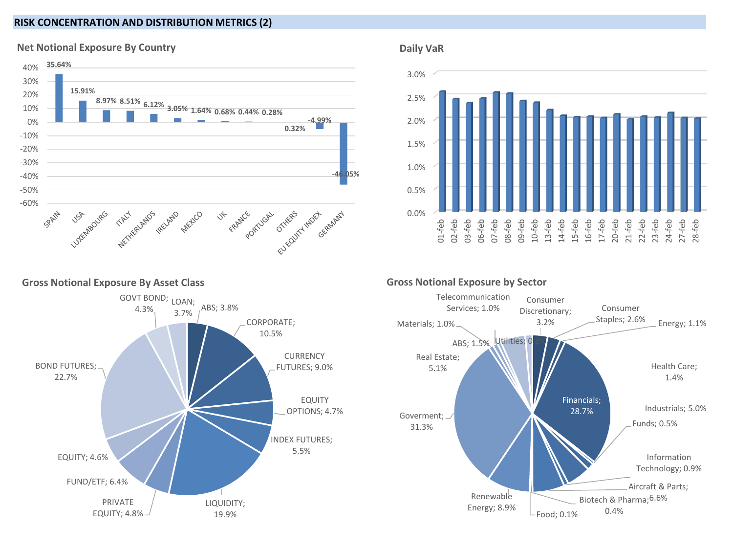## **RISK CONCENTRATION AND DISTRIBUTION METRICS (2)**



### **Net Notional Exposure By Country**





ABS; 3.8% CORPORATE; 10.5% **CURRENCY** FUTURES; 9.0% EQUITY OPTIONS; 4.7% INDEX FUTURES; 5.5% LIQUIDITY; 19.9% PRIVATE EQUITY; 4.8% FUND/ETF; 6.4% EQUITY; 4.6% BOND FUTURES; 22.7% GOVT BOND; LOAN; 4.3% 3.7%

## **Gross Notional Exposure by Sector**



## **Gross Notional Exposure By Asset Class**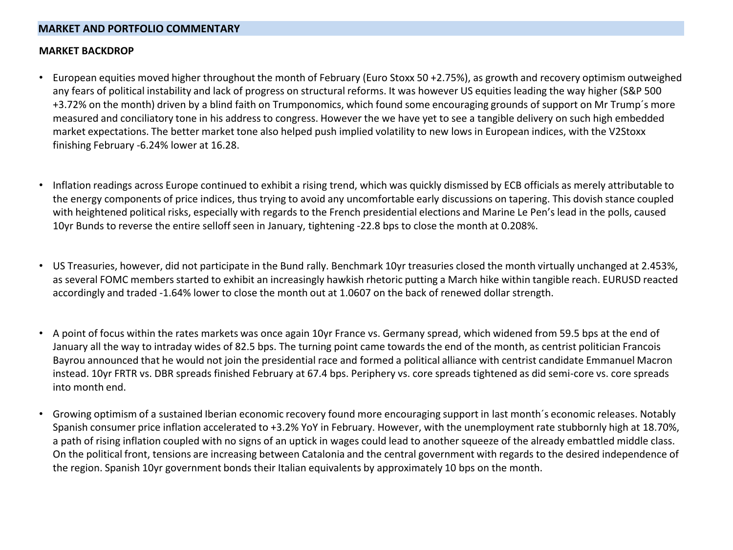## **MARKET AND PORTFOLIO COMMENTARY**

#### **MARKET BACKDROP**

- European equities moved higher throughout the month of February (Euro Stoxx 50 +2.75%), as growth and recovery optimism outweighed any fears of political instability and lack of progress on structural reforms. It was however US equities leading the way higher (S&P 500 +3.72% on the month) driven by a blind faith on Trumponomics, which found some encouraging grounds of support on Mr Trump´s more measured and conciliatory tone in his address to congress. However the we have yet to see a tangible delivery on such high embedded market expectations. The better market tone also helped push implied volatility to new lows in European indices, with the V2Stoxx finishing February -6.24% lower at 16.28.
- Inflation readings across Europe continued to exhibit a rising trend, which was quickly dismissed by ECB officials as merely attributable to the energy components of price indices, thus trying to avoid any uncomfortable early discussions on tapering. This dovish stance coupled with heightened political risks, especially with regards to the French presidential elections and Marine Le Pen's lead in the polls, caused 10yr Bunds to reverse the entire selloff seen in January, tightening -22.8 bps to close the month at 0.208%.
- US Treasuries, however, did not participate in the Bund rally. Benchmark 10yr treasuries closed the month virtually unchanged at 2.453%, as several FOMC members started to exhibit an increasingly hawkish rhetoric putting a March hike within tangible reach. EURUSD reacted accordingly and traded -1.64% lower to close the month out at 1.0607 on the back of renewed dollar strength.
- A point of focus within the rates markets was once again 10yr France vs. Germany spread, which widened from 59.5 bps at the end of January all the way to intraday wides of 82.5 bps. The turning point came towards the end of the month, as centrist politician Francois Bayrou announced that he would not join the presidential race and formed a political alliance with centrist candidate Emmanuel Macron instead. 10yr FRTR vs. DBR spreads finished February at 67.4 bps. Periphery vs. core spreads tightened as did semi-core vs. core spreads into month end.
- Growing optimism of a sustained Iberian economic recovery found more encouraging support in last month´s economic releases. Notably Spanish consumer price inflation accelerated to +3.2% YoY in February. However, with the unemployment rate stubbornly high at 18.70%, a path of rising inflation coupled with no signs of an uptick in wages could lead to another squeeze of the already embattled middle class. On the political front, tensions are increasing between Catalonia and the central government with regards to the desired independence of the region. Spanish 10yr government bonds their Italian equivalents by approximately 10 bps on the month.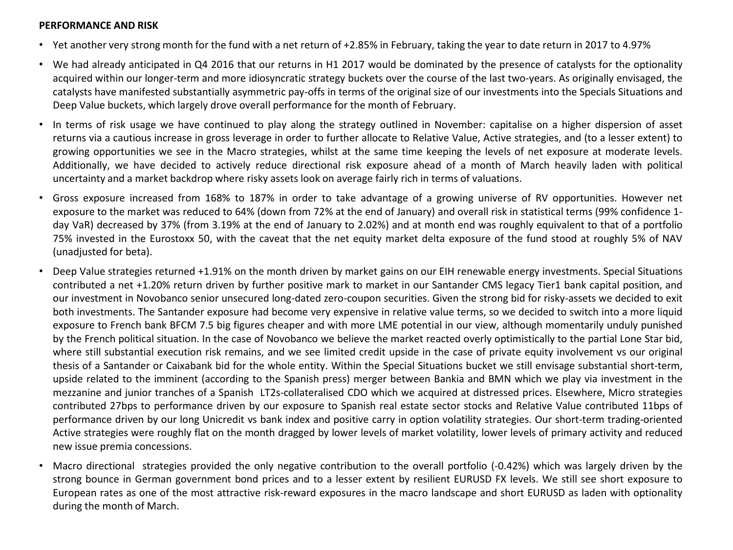#### **PERFORMANCE AND RISK**

- Yet another very strong month for the fund with a net return of +2.85% in February, taking the year to date return in 2017 to 4.97%
- We had already anticipated in Q4 2016 that our returns in H1 2017 would be dominated by the presence of catalysts for the optionality acquired within our longer-term and more idiosyncratic strategy buckets over the course of the last two-years. As originally envisaged, the catalysts have manifested substantially asymmetric pay-offs in terms of the original size of our investments into the Specials Situations and Deep Value buckets, which largely drove overall performance for the month of February.
- In terms of risk usage we have continued to play along the strategy outlined in November: capitalise on a higher dispersion of asset returns via a cautious increase in gross leverage in order to further allocate to Relative Value, Active strategies, and (to a lesser extent) to growing opportunities we see in the Macro strategies, whilst at the same time keeping the levels of net exposure at moderate levels. Additionally, we have decided to actively reduce directional risk exposure ahead of a month of March heavily laden with political uncertainty and a market backdrop where risky assets look on average fairly rich in terms of valuations.
- Gross exposure increased from 168% to 187% in order to take advantage of a growing universe of RV opportunities. However net exposure to the market was reduced to 64% (down from 72% at the end of January) and overall risk in statistical terms (99% confidence 1 day VaR) decreased by 37% (from 3.19% at the end of January to 2.02%) and at month end was roughly equivalent to that of a portfolio 75% invested in the Eurostoxx 50, with the caveat that the net equity market delta exposure of the fund stood at roughly 5% of NAV (unadjusted for beta).
- Deep Value strategies returned +1.91% on the month driven by market gains on our EIH renewable energy investments. Special Situations contributed a net +1.20% return driven by further positive mark to market in our Santander CMS legacy Tier1 bank capital position, and our investment in Novobanco senior unsecured long-dated zero-coupon securities. Given the strong bid for risky-assets we decided to exit both investments. The Santander exposure had become very expensive in relative value terms, so we decided to switch into a more liquid exposure to French bank BFCM 7.5 big figures cheaper and with more LME potential in our view, although momentarily unduly punished by the French political situation. In the case of Novobanco we believe the market reacted overly optimistically to the partial Lone Star bid, where still substantial execution risk remains, and we see limited credit upside in the case of private equity involvement vs our original thesis of a Santander or Caixabank bid for the whole entity. Within the Special Situations bucket we still envisage substantial short-term, upside related to the imminent (according to the Spanish press) merger between Bankia and BMN which we play via investment in the mezzanine and junior tranches of a Spanish LT2s-collateralised CDO which we acquired at distressed prices. Elsewhere, Micro strategies contributed 27bps to performance driven by our exposure to Spanish real estate sector stocks and Relative Value contributed 11bps of performance driven by our long Unicredit vs bank index and positive carry in option volatility strategies. Our short-term trading-oriented Active strategies were roughly flat on the month dragged by lower levels of market volatility, lower levels of primary activity and reduced new issue premia concessions.
- Macro directional strategies provided the only negative contribution to the overall portfolio (-0.42%) which was largely driven by the strong bounce in German government bond prices and to a lesser extent by resilient EURUSD FX levels. We still see short exposure to European rates as one of the most attractive risk-reward exposures in the macro landscape and short EURUSD as laden with optionality during the month of March.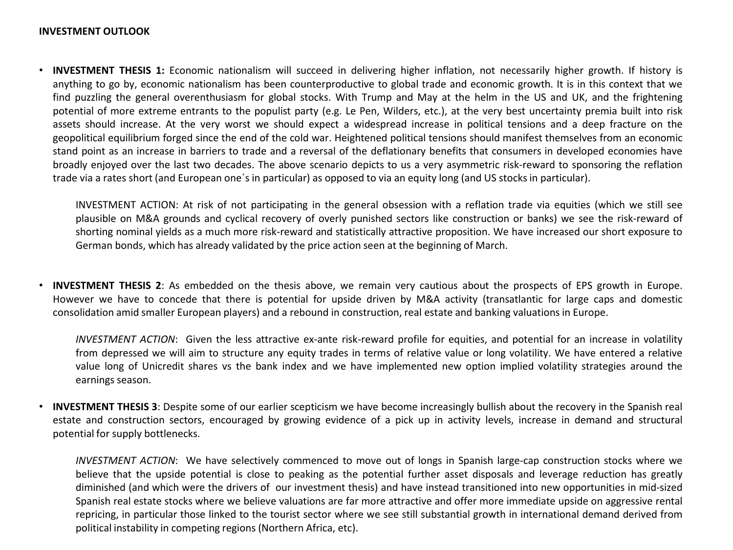### **INVESTMENT OUTLOOK**

• **INVESTMENT THESIS 1:** Economic nationalism will succeed in delivering higher inflation, not necessarily higher growth. If history is anything to go by, economic nationalism has been counterproductive to global trade and economic growth. It is in this context that we find puzzling the general overenthusiasm for global stocks. With Trump and May at the helm in the US and UK, and the frightening potential of more extreme entrants to the populist party (e.g. Le Pen, Wilders, etc.), at the very best uncertainty premia built into risk assets should increase. At the very worst we should expect a widespread increase in political tensions and a deep fracture on the geopolitical equilibrium forged since the end of the cold war. Heightened political tensions should manifest themselves from an economic stand point as an increase in barriers to trade and a reversal of the deflationary benefits that consumers in developed economies have broadly enjoyed over the last two decades. The above scenario depicts to us a very asymmetric risk-reward to sponsoring the reflation trade via a rates short (and European one´s in particular) as opposed to via an equity long (and US stocksin particular).

INVESTMENT ACTION: At risk of not participating in the general obsession with a reflation trade via equities (which we still see plausible on M&A grounds and cyclical recovery of overly punished sectors like construction or banks) we see the risk-reward of shorting nominal yields as a much more risk-reward and statistically attractive proposition. We have increased our short exposure to German bonds, which has already validated by the price action seen at the beginning of March.

• **INVESTMENT THESIS 2**: As embedded on the thesis above, we remain very cautious about the prospects of EPS growth in Europe. However we have to concede that there is potential for upside driven by M&A activity (transatlantic for large caps and domestic consolidation amid smaller European players) and a rebound in construction, real estate and banking valuations in Europe.

*INVESTMENT ACTION*: Given the less attractive ex-ante risk-reward profile for equities, and potential for an increase in volatility from depressed we will aim to structure any equity trades in terms of relative value or long volatility. We have entered a relative value long of Unicredit shares vs the bank index and we have implemented new option implied volatility strategies around the earnings season.

• **INVESTMENT THESIS 3**: Despite some of our earlier scepticism we have become increasingly bullish about the recovery in the Spanish real estate and construction sectors, encouraged by growing evidence of a pick up in activity levels, increase in demand and structural potential for supply bottlenecks.

*INVESTMENT ACTION*: We have selectively commenced to move out of longs in Spanish large-cap construction stocks where we believe that the upside potential is close to peaking as the potential further asset disposals and leverage reduction has greatly diminished (and which were the drivers of our investment thesis) and have instead transitioned into new opportunities in mid-sized Spanish real estate stocks where we believe valuations are far more attractive and offer more immediate upside on aggressive rental repricing, in particular those linked to the tourist sector where we see still substantial growth in international demand derived from political instability in competing regions (Northern Africa, etc).